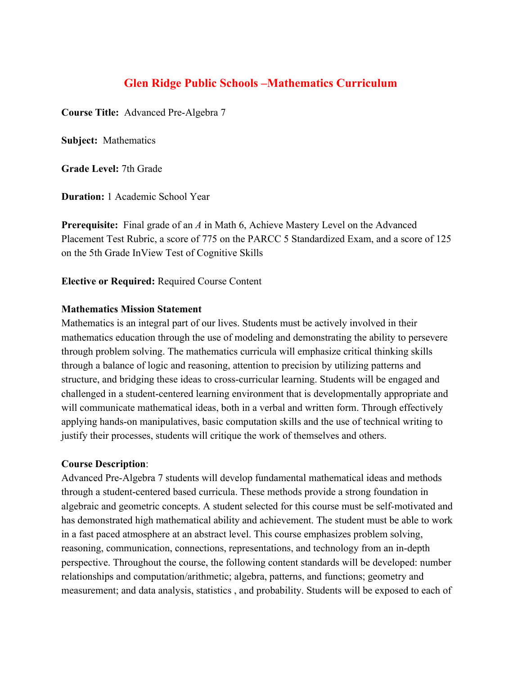# **Glen Ridge Public Schools –Mathematics Curriculum**

**Course Title:** Advanced Pre-Algebra 7

**Subject:** Mathematics

**Grade Level:** 7th Grade

**Duration:** 1 Academic School Year

**Prerequisite:** Final grade of an *A* in Math 6, Achieve Mastery Level on the Advanced Placement Test Rubric, a score of 775 on the PARCC 5 Standardized Exam, and a score of 125 on the 5th Grade InView Test of Cognitive Skills

**Elective or Required:** Required Course Content

#### **Mathematics Mission Statement**

Mathematics is an integral part of our lives. Students must be actively involved in their mathematics education through the use of modeling and demonstrating the ability to persevere through problem solving. The mathematics curricula will emphasize critical thinking skills through a balance of logic and reasoning, attention to precision by utilizing patterns and structure, and bridging these ideas to cross-curricular learning. Students will be engaged and challenged in a student-centered learning environment that is developmentally appropriate and will communicate mathematical ideas, both in a verbal and written form. Through effectively applying hands-on manipulatives, basic computation skills and the use of technical writing to justify their processes, students will critique the work of themselves and others.

#### **Course Description**:

Advanced Pre-Algebra 7 students will develop fundamental mathematical ideas and methods through a student-centered based curricula. These methods provide a strong foundation in algebraic and geometric concepts. A student selected for this course must be self-motivated and has demonstrated high mathematical ability and achievement. The student must be able to work in a fast paced atmosphere at an abstract level. This course emphasizes problem solving, reasoning, communication, connections, representations, and technology from an in-depth perspective. Throughout the course, the following content standards will be developed: number relationships and computation/arithmetic; algebra, patterns, and functions; geometry and measurement; and data analysis, statistics , and probability. Students will be exposed to each of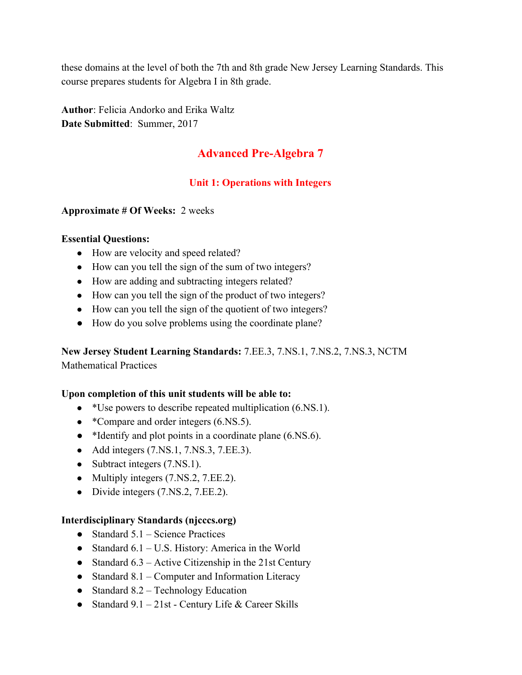these domains at the level of both the 7th and 8th grade New Jersey Learning Standards. This course prepares students for Algebra I in 8th grade.

**Author**: Felicia Andorko and Erika Waltz **Date Submitted**: Summer, 2017

# **Advanced Pre-Algebra 7**

# **Unit 1: Operations with Integers**

#### **Approximate # Of Weeks:** 2 weeks

#### **Essential Questions:**

- How are velocity and speed related?
- How can you tell the sign of the sum of two integers?
- How are adding and subtracting integers related?
- How can you tell the sign of the product of two integers?
- How can you tell the sign of the quotient of two integers?
- How do you solve problems using the coordinate plane?

**New Jersey Student Learning Standards:** 7.EE.3, 7.NS.1, 7.NS.2, 7.NS.3, NCTM Mathematical Practices

#### **Upon completion of this unit students will be able to:**

- \*Use powers to describe repeated multiplication (6.NS.1).
- \*Compare and order integers (6.NS.5).
- \*Identify and plot points in a coordinate plane (6.NS.6).
- Add integers (7.NS.1, 7.NS.3, 7.EE.3).
- Subtract integers (7.NS.1).
- Multiply integers (7.NS.2, 7.EE.2).
- Divide integers (7.NS.2, 7.EE.2).

## **Interdisciplinary Standards (njcccs.org)**

- $\bullet$  Standard 5.1 Science Practices
- Standard  $6.1 U.S.$  History: America in the World
- Standard  $6.3$  Active Citizenship in the 21st Century
- Standard  $8.1$  Computer and Information Literacy
- Standard  $8.2$  Technology Education
- Standard  $9.1 21$ st Century Life & Career Skills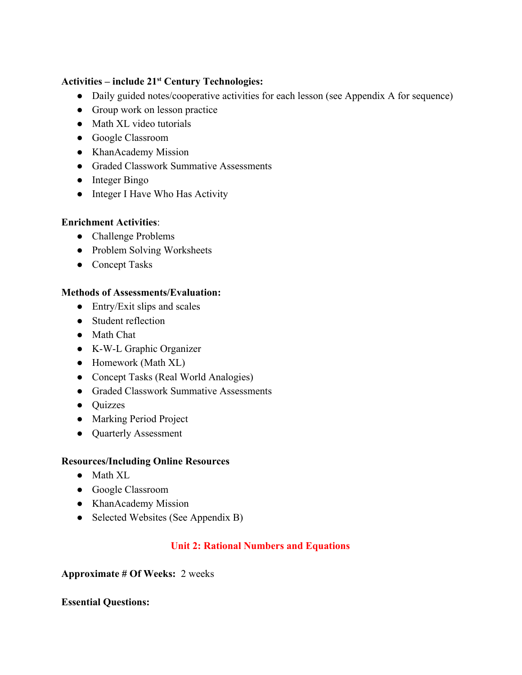# **Activities – include 21 st Century Technologies:**

- Daily guided notes/cooperative activities for each lesson (see Appendix A for sequence)
- Group work on lesson practice
- Math XL video tutorials
- Google Classroom
- KhanAcademy Mission
- Graded Classwork Summative Assessments
- Integer Bingo
- Integer I Have Who Has Activity

## **Enrichment Activities**:

- Challenge Problems
- Problem Solving Worksheets
- Concept Tasks

# **Methods of Assessments/Evaluation:**

- $\bullet$  Entry/Exit slips and scales
- Student reflection
- Math Chat
- K-W-L Graphic Organizer
- Homework (Math XL)
- Concept Tasks (Real World Analogies)
- Graded Classwork Summative Assessments
- Quizzes
- Marking Period Project
- Quarterly Assessment

## **Resources/Including Online Resources**

- Math XL
- Google Classroom
- KhanAcademy Mission
- Selected Websites (See Appendix B)

# **Unit 2: Rational Numbers and Equations**

## **Approximate # Of Weeks:** 2 weeks

## **Essential Questions:**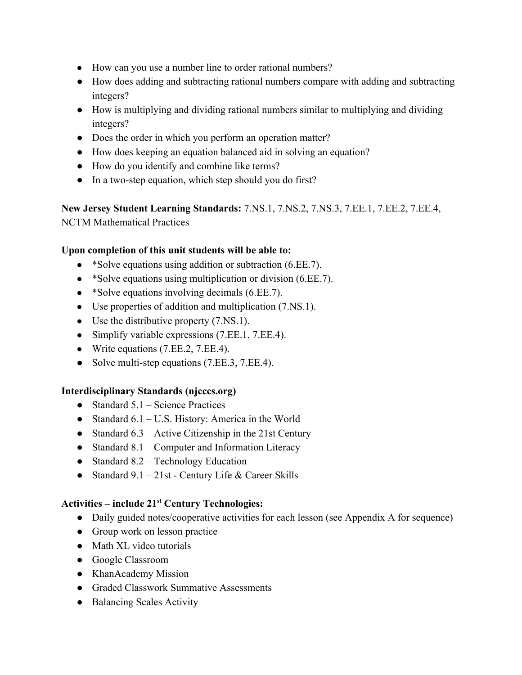- How can you use a number line to order rational numbers?
- How does adding and subtracting rational numbers compare with adding and subtracting integers?
- How is multiplying and dividing rational numbers similar to multiplying and dividing integers?
- Does the order in which you perform an operation matter?
- How does keeping an equation balanced aid in solving an equation?
- How do you identify and combine like terms?
- In a two-step equation, which step should you do first?

**New Jersey Student Learning Standards:** 7.NS.1, 7.NS.2, 7.NS.3, 7.EE.1, 7.EE.2, 7.EE.4, NCTM Mathematical Practices

## **Upon completion of this unit students will be able to:**

- \*Solve equations using addition or subtraction (6.EE.7).
- \*Solve equations using multiplication or division (6.EE.7).
- \*Solve equations involving decimals (6.EE.7).
- Use properties of addition and multiplication (7.NS.1).
- Use the distributive property  $(7.NS.1)$ .
- Simplify variable expressions (7.EE.1, 7.EE.4).
- Write equations (7.EE.2, 7.EE.4).
- Solve multi-step equations (7.EE.3, 7.EE.4).

## **Interdisciplinary Standards (njcccs.org)**

- $\bullet$  Standard 5.1 Science Practices
- Standard  $6.1 U.S.$  History: America in the World
- Standard  $6.3$  Active Citizenship in the 21st Century
- Standard  $8.1$  Computer and Information Literacy
- Standard  $8.2$  Technology Education
- Standard  $9.1 21$ st Century Life & Career Skills

# **Activities – include 21 st Century Technologies:**

- Daily guided notes/cooperative activities for each lesson (see Appendix A for sequence)
- Group work on lesson practice
- Math XL video tutorials
- Google Classroom
- KhanAcademy Mission
- Graded Classwork Summative Assessments
- Balancing Scales Activity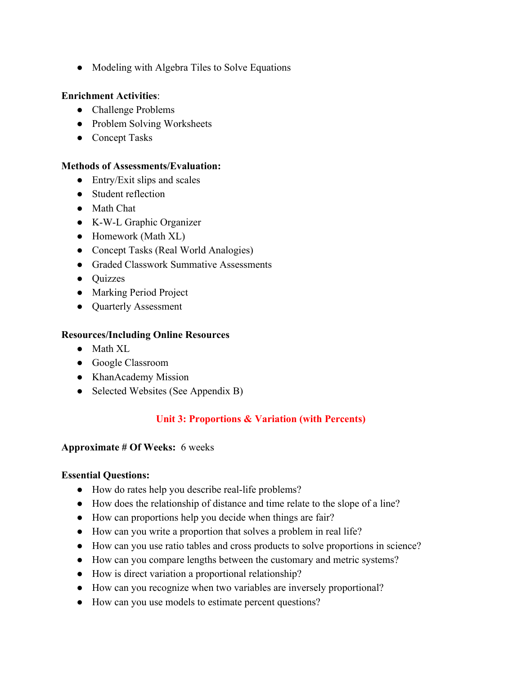• Modeling with Algebra Tiles to Solve Equations

#### **Enrichment Activities**:

- Challenge Problems
- Problem Solving Worksheets
- Concept Tasks

#### **Methods of Assessments/Evaluation:**

- $\bullet$  Entry/Exit slips and scales
- Student reflection
- Math Chat
- K-W-L Graphic Organizer
- Homework (Math XL)
- Concept Tasks (Real World Analogies)
- Graded Classwork Summative Assessments
- Quizzes
- Marking Period Project
- Quarterly Assessment

#### **Resources/Including Online Resources**

- Math XL
- Google Classroom
- KhanAcademy Mission
- Selected Websites (See Appendix B)

# **Unit 3: Proportions & Variation (with Percents)**

#### **Approximate # Of Weeks:** 6 weeks

## **Essential Questions:**

- How do rates help you describe real-life problems?
- How does the relationship of distance and time relate to the slope of a line?
- How can proportions help you decide when things are fair?
- How can you write a proportion that solves a problem in real life?
- How can you use ratio tables and cross products to solve proportions in science?
- How can you compare lengths between the customary and metric systems?
- How is direct variation a proportional relationship?
- How can you recognize when two variables are inversely proportional?
- How can you use models to estimate percent questions?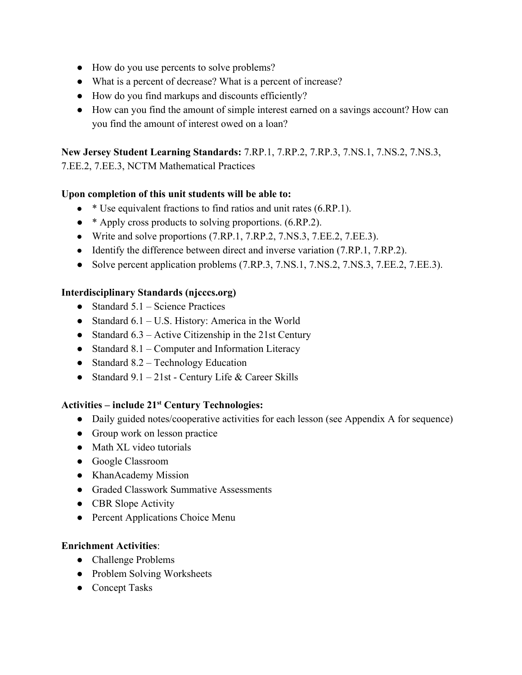- How do you use percents to solve problems?
- What is a percent of decrease? What is a percent of increase?
- How do you find markups and discounts efficiently?
- How can you find the amount of simple interest earned on a savings account? How can you find the amount of interest owed on a loan?

**New Jersey Student Learning Standards:** 7.RP.1, 7.RP.2, 7.RP.3, 7.NS.1, 7.NS.2, 7.NS.3,

7.EE.2, 7.EE.3, NCTM Mathematical Practices

## **Upon completion of this unit students will be able to:**

- $\bullet\quad*$  Use equivalent fractions to find ratios and unit rates (6.RP.1).
- \* Apply cross products to solving proportions. (6.RP.2).
- Write and solve proportions (7.RP.1, 7.RP.2, 7.NS.3, 7.EE.2, 7.EE.3).
- Identify the difference between direct and inverse variation (7.RP.1, 7.RP.2).
- Solve percent application problems (7.RP.3, 7.NS.1, 7.NS.2, 7.NS.3, 7.EE.2, 7.EE.3).

## **Interdisciplinary Standards (njcccs.org)**

- Standard  $5.1$  Science Practices
- Standard  $6.1 U.S.$  History: America in the World
- Standard  $6.3$  Active Citizenship in the 21st Century
- Standard 8.1 Computer and Information Literacy
- Standard  $8.2$  Technology Education
- Standard  $9.1 21$ st Century Life & Career Skills

# **Activities – include 21 st Century Technologies:**

- Daily guided notes/cooperative activities for each lesson (see Appendix A for sequence)
- Group work on lesson practice
- Math XL video tutorials
- Google Classroom
- KhanAcademy Mission
- Graded Classwork Summative Assessments
- CBR Slope Activity
- Percent Applications Choice Menu

# **Enrichment Activities**:

- Challenge Problems
- Problem Solving Worksheets
- Concept Tasks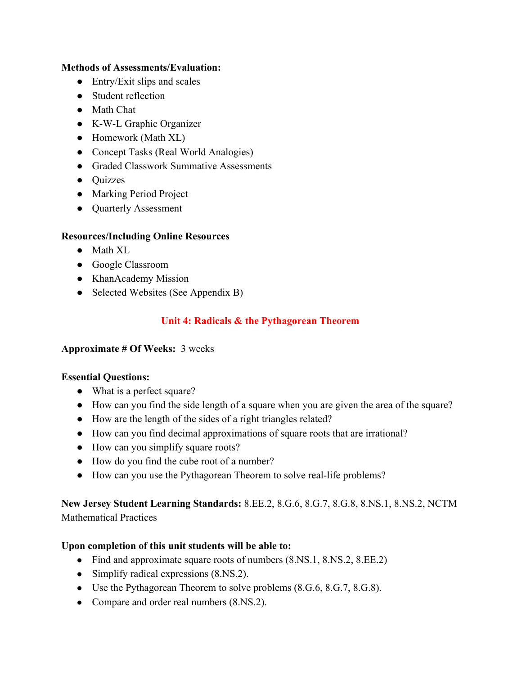## **Methods of Assessments/Evaluation:**

- $\bullet$  Entry/Exit slips and scales
- Student reflection
- Math Chat
- K-W-L Graphic Organizer
- Homework (Math XL)
- Concept Tasks (Real World Analogies)
- Graded Classwork Summative Assessments
- Quizzes
- Marking Period Project
- Quarterly Assessment

# **Resources/Including Online Resources**

- Math XL
- Google Classroom
- KhanAcademy Mission
- Selected Websites (See Appendix B)

# **Unit 4: Radicals & the Pythagorean Theorem**

# **Approximate # Of Weeks:** 3 weeks

# **Essential Questions:**

- What is a perfect square?
- How can you find the side length of a square when you are given the area of the square?
- How are the length of the sides of a right triangles related?
- How can you find decimal approximations of square roots that are irrational?
- How can you simplify square roots?
- How do you find the cube root of a number?
- How can you use the Pythagorean Theorem to solve real-life problems?

**New Jersey Student Learning Standards:** 8.EE.2, 8.G.6, 8.G.7, 8.G.8, 8.NS.1, 8.NS.2, NCTM Mathematical Practices

# **Upon completion of this unit students will be able to:**

- Find and approximate square roots of numbers (8.NS.1, 8.NS.2, 8.EE.2)
- Simplify radical expressions  $(8.NS.2)$ .
- Use the Pythagorean Theorem to solve problems (8.G.6, 8.G.7, 8.G.8).
- Compare and order real numbers (8.NS.2).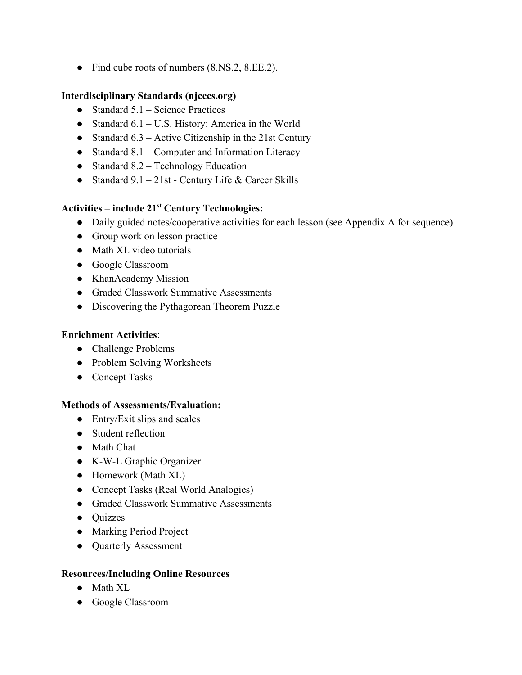● Find cube roots of numbers (8.NS.2, 8.EE.2).

## **Interdisciplinary Standards (njcccs.org)**

- Standard  $5.1$  Science Practices
- Standard  $6.1 U.S.$  History: America in the World
- Standard  $6.3$  Active Citizenship in the 21st Century
- Standard  $8.1$  Computer and Information Literacy
- Standard  $8.2$  Technology Education
- Standard  $9.1 21$ st Century Life & Career Skills

# **Activities – include 21 st Century Technologies:**

- Daily guided notes/cooperative activities for each lesson (see Appendix A for sequence)
- Group work on lesson practice
- Math XL video tutorials
- Google Classroom
- KhanAcademy Mission
- Graded Classwork Summative Assessments
- Discovering the Pythagorean Theorem Puzzle

# **Enrichment Activities**:

- Challenge Problems
- Problem Solving Worksheets
- Concept Tasks

# **Methods of Assessments/Evaluation:**

- $\bullet$  Entry/Exit slips and scales
- Student reflection
- Math Chat
- K-W-L Graphic Organizer
- Homework (Math XL)
- Concept Tasks (Real World Analogies)
- Graded Classwork Summative Assessments
- Quizzes
- Marking Period Project
- Quarterly Assessment

# **Resources/Including Online Resources**

- Math XL
- Google Classroom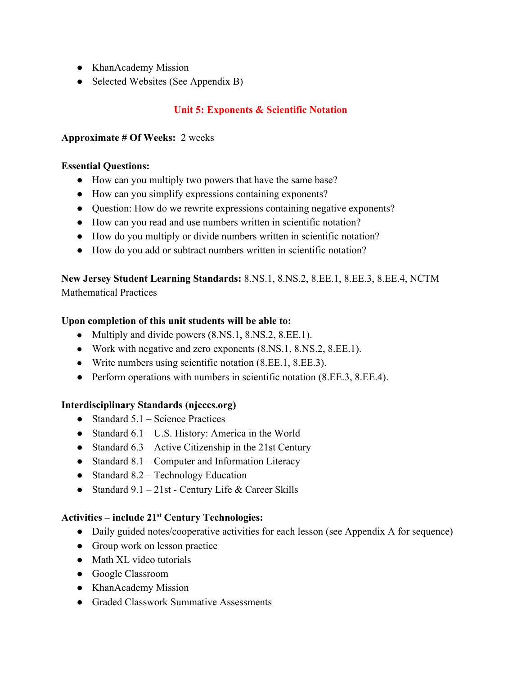- KhanAcademy Mission
- Selected Websites (See Appendix B)

# **Unit 5: Exponents & Scientific Notation**

## **Approximate # Of Weeks:** 2 weeks

## **Essential Questions:**

- How can you multiply two powers that have the same base?
- How can you simplify expressions containing exponents?
- Question: How do we rewrite expressions containing negative exponents?
- How can you read and use numbers written in scientific notation?
- How do you multiply or divide numbers written in scientific notation?
- How do you add or subtract numbers written in scientific notation?

**New Jersey Student Learning Standards:** 8.NS.1, 8.NS.2, 8.EE.1, 8.EE.3, 8.EE.4, NCTM Mathematical Practices

# **Upon completion of this unit students will be able to:**

- Multiply and divide powers  $(8.NS.1, 8.NS.2, 8.EE.1)$ .
- Work with negative and zero exponents (8.NS.1, 8.NS.2, 8.EE.1).
- Write numbers using scientific notation (8.EE.1, 8.EE.3).
- **●** Perform operations with numbers in scientific notation (8.EE.3, 8.EE.4).

# **Interdisciplinary Standards (njcccs.org)**

- $\bullet$  Standard 5.1 Science Practices
- Standard  $6.1 U.S.$  History: America in the World
- Standard  $6.3$  Active Citizenship in the 21st Century
- Standard 8.1 Computer and Information Literacy
- Standard  $8.2$  Technology Education
- Standard  $9.1 21$ st Century Life & Career Skills

# **Activities – include 21 st Century Technologies:**

- Daily guided notes/cooperative activities for each lesson (see Appendix A for sequence)
- Group work on lesson practice
- Math XL video tutorials
- Google Classroom
- KhanAcademy Mission
- Graded Classwork Summative Assessments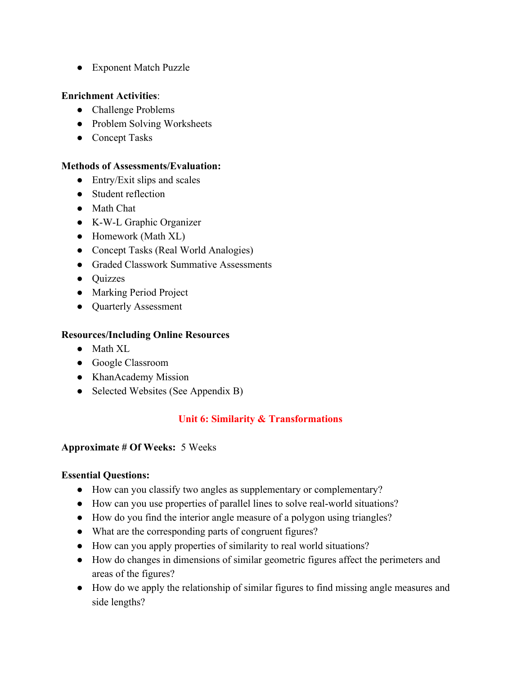● Exponent Match Puzzle

## **Enrichment Activities**:

- Challenge Problems
- Problem Solving Worksheets
- Concept Tasks

## **Methods of Assessments/Evaluation:**

- $\bullet$  Entry/Exit slips and scales
- Student reflection
- Math Chat
- K-W-L Graphic Organizer
- Homework (Math XL)
- Concept Tasks (Real World Analogies)
- Graded Classwork Summative Assessments
- Ouizzes
- Marking Period Project
- Quarterly Assessment

# **Resources/Including Online Resources**

- Math XL
- Google Classroom
- KhanAcademy Mission
- Selected Websites (See Appendix B)

# **Unit 6: Similarity & Transformations**

## **Approximate # Of Weeks:** 5 Weeks

# **Essential Questions:**

- How can you classify two angles as supplementary or complementary?
- How can you use properties of parallel lines to solve real-world situations?
- How do you find the interior angle measure of a polygon using triangles?
- What are the corresponding parts of congruent figures?
- How can you apply properties of similarity to real world situations?
- How do changes in dimensions of similar geometric figures affect the perimeters and areas of the figures?
- How do we apply the relationship of similar figures to find missing angle measures and side lengths?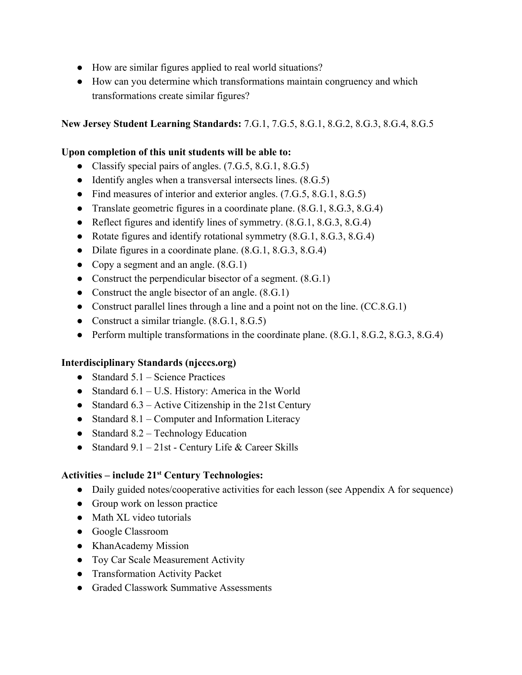- How are similar figures applied to real world situations?
- How can you determine which transformations maintain congruency and which transformations create similar figures?

**New Jersey Student Learning Standards:** 7.G.1, 7.G.5, 8.G.1, 8.G.2, 8.G.3, 8.G.4, 8.G.5

## **Upon completion of this unit students will be able to:**

- Classify special pairs of angles.  $(7.\text{G.5}, 8.\text{G.1}, 8.\text{G.5})$
- Identify angles when a transversal intersects lines.  $(8.G.5)$
- Find measures of interior and exterior angles. (7.G.5, 8.G.1, 8.G.5)
- Translate geometric figures in a coordinate plane. (8.G.1, 8.G.3, 8.G.4)
- Reflect figures and identify lines of symmetry.  $(8.G.1, 8.G.3, 8.G.4)$
- Rotate figures and identify rotational symmetry  $(8.G.1, 8.G.3, 8.G.4)$
- Dilate figures in a coordinate plane.  $(8.G.1, 8.G.3, 8.G.4)$
- Copy a segment and an angle.  $(8.G.1)$
- Construct the perpendicular bisector of a segment.  $(8.G.1)$
- Construct the angle bisector of an angle.  $(8.G.1)$
- Construct parallel lines through a line and a point not on the line. (CC.8.G.1)
- Construct a similar triangle.  $(8.G.1, 8.G.5)$
- Perform multiple transformations in the coordinate plane. (8.G.1, 8.G.2, 8.G.3, 8.G.4)

# **Interdisciplinary Standards (njcccs.org)**

- Standard  $5.1$  Science Practices
- Standard  $6.1 U.S.$  History: America in the World
- Standard  $6.3$  Active Citizenship in the 21st Century
- Standard  $8.1$  Computer and Information Literacy
- Standard  $8.2$  Technology Education
- Standard  $9.1 21$ st Century Life & Career Skills

# **Activities – include 21 st Century Technologies:**

- Daily guided notes/cooperative activities for each lesson (see Appendix A for sequence)
- Group work on lesson practice
- Math XL video tutorials
- Google Classroom
- KhanAcademy Mission
- Toy Car Scale Measurement Activity
- Transformation Activity Packet
- Graded Classwork Summative Assessments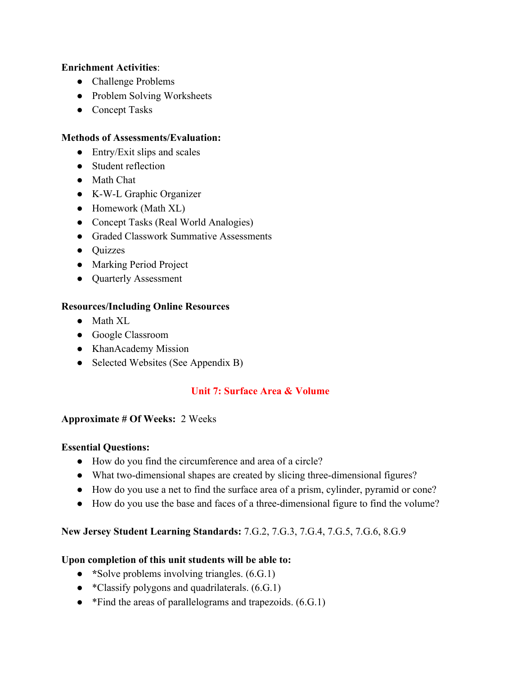## **Enrichment Activities**:

- Challenge Problems
- Problem Solving Worksheets
- Concept Tasks

## **Methods of Assessments/Evaluation:**

- $\bullet$  Entry/Exit slips and scales
- Student reflection
- Math Chat
- K-W-L Graphic Organizer
- Homework (Math XL)
- Concept Tasks (Real World Analogies)
- Graded Classwork Summative Assessments
- Quizzes
- Marking Period Project
- Quarterly Assessment

# **Resources/Including Online Resources**

- Math XL
- Google Classroom
- KhanAcademy Mission
- Selected Websites (See Appendix B)

# **Unit 7: Surface Area & Volume**

## **Approximate # Of Weeks:** 2 Weeks

## **Essential Questions:**

- How do you find the circumference and area of a circle?
- What two-dimensional shapes are created by slicing three-dimensional figures?
- How do you use a net to find the surface area of a prism, cylinder, pyramid or cone?
- How do you use the base and faces of a three-dimensional figure to find the volume?

# **New Jersey Student Learning Standards:** 7.G.2, 7.G.3, 7.G.4, 7.G.5, 7.G.6, 8.G.9

# **Upon completion of this unit students will be able to:**

- \*Solve problems involving triangles.  $(6.G.1)$
- \*Classify polygons and quadrilaterals.  $(6.G.1)$
- \*Find the areas of parallelograms and trapezoids.  $(6.G.1)$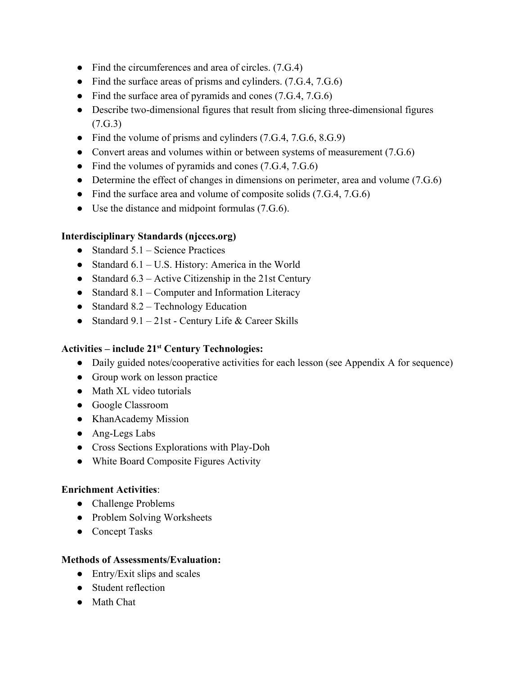- Find the circumferences and area of circles.  $(7.G.4)$
- Find the surface areas of prisms and cylinders. (7.G.4, 7.G.6)
- Find the surface area of pyramids and cones (7.G.4, 7.G.6)
- Describe two-dimensional figures that result from slicing three-dimensional figures (7.G.3)
- Find the volume of prisms and cylinders (7.G.4, 7.G.6, 8.G.9)
- Convert areas and volumes within or between systems of measurement (7.G.6)
- Find the volumes of pyramids and cones  $(7.G.4, 7.G.6)$
- Determine the effect of changes in dimensions on perimeter, area and volume (7.G.6)
- Find the surface area and volume of composite solids (7.G.4, 7.G.6)
- Use the distance and midpoint formulas (7.G.6).

# **Interdisciplinary Standards (njcccs.org)**

- $\bullet$  Standard 5.1 Science Practices
- Standard  $6.1 U.S.$  History: America in the World
- Standard  $6.3$  Active Citizenship in the 21st Century
- Standard 8.1 Computer and Information Literacy
- Standard  $8.2$  Technology Education
- Standard  $9.1 21$ st Century Life & Career Skills

# **Activities – include 21 st Century Technologies:**

- Daily guided notes/cooperative activities for each lesson (see Appendix A for sequence)
- Group work on lesson practice
- Math XL video tutorials
- Google Classroom
- KhanAcademy Mission
- Ang-Legs Labs
- Cross Sections Explorations with Play-Doh
- White Board Composite Figures Activity

# **Enrichment Activities**:

- Challenge Problems
- Problem Solving Worksheets
- Concept Tasks

# **Methods of Assessments/Evaluation:**

- $\bullet$  Entry/Exit slips and scales
- Student reflection
- Math Chat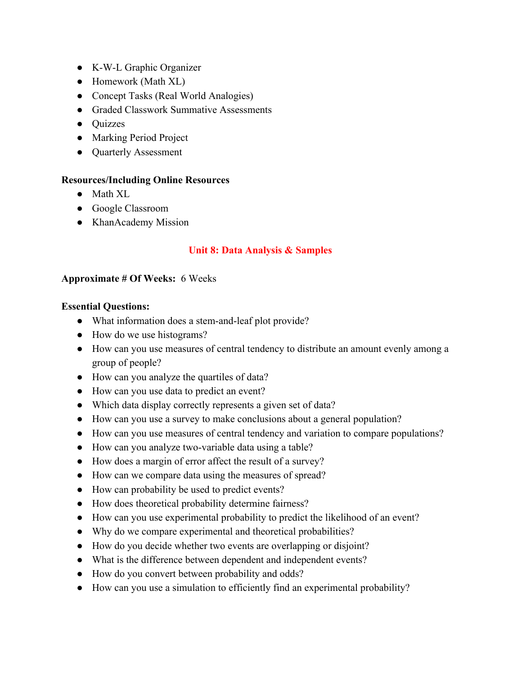- K-W-L Graphic Organizer
- Homework (Math XL)
- Concept Tasks (Real World Analogies)
- Graded Classwork Summative Assessments
- Quizzes
- Marking Period Project
- Quarterly Assessment

#### **Resources/Including Online Resources**

- Math XL
- Google Classroom
- KhanAcademy Mission

## **Unit 8: Data Analysis & Samples**

#### **Approximate # Of Weeks:** 6 Weeks

#### **Essential Questions:**

- What information does a stem-and-leaf plot provide?
- How do we use histograms?
- How can you use measures of central tendency to distribute an amount evenly among a group of people?
- How can you analyze the quartiles of data?
- How can you use data to predict an event?
- Which data display correctly represents a given set of data?
- How can you use a survey to make conclusions about a general population?
- How can you use measures of central tendency and variation to compare populations?
- How can you analyze two-variable data using a table?
- How does a margin of error affect the result of a survey?
- How can we compare data using the measures of spread?
- How can probability be used to predict events?
- How does theoretical probability determine fairness?
- How can you use experimental probability to predict the likelihood of an event?
- Why do we compare experimental and theoretical probabilities?
- How do you decide whether two events are overlapping or disjoint?
- What is the difference between dependent and independent events?
- How do you convert between probability and odds?
- How can you use a simulation to efficiently find an experimental probability?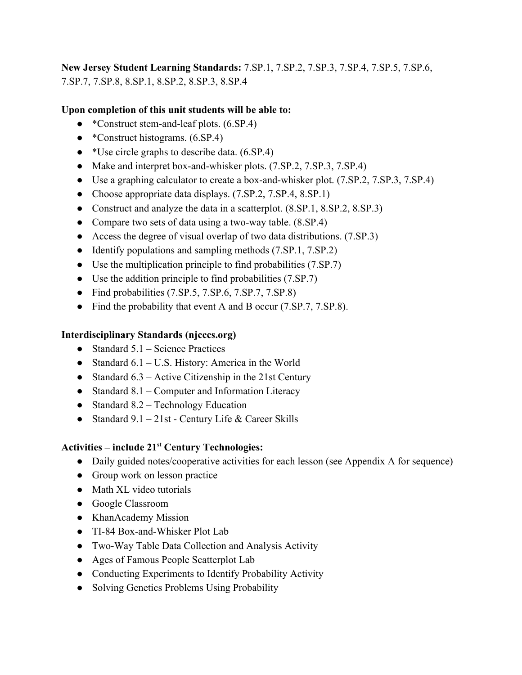**New Jersey Student Learning Standards:** 7.SP.1, 7.SP.2, 7.SP.3, 7.SP.4, 7.SP.5, 7.SP.6, 7.SP.7, 7.SP.8, 8.SP.1, 8.SP.2, 8.SP.3, 8.SP.4

## **Upon completion of this unit students will be able to:**

- \*Construct stem-and-leaf plots. (6.SP.4)
- \*Construct histograms. (6.SP.4)
- \*Use circle graphs to describe data. (6.SP.4)
- Make and interpret box-and-whisker plots. (7.SP.2, 7.SP.3, 7.SP.4)
- Use a graphing calculator to create a box-and-whisker plot. (7.SP.2, 7.SP.3, 7.SP.4)
- Choose appropriate data displays. (7.SP.2, 7.SP.4, 8.SP.1)
- Construct and analyze the data in a scatterplot.  $(8.5P.1, 8.5P.2, 8.5P.3)$
- Compare two sets of data using a two-way table. (8.SP.4)
- Access the degree of visual overlap of two data distributions. (7.SP.3)
- Identify populations and sampling methods (7.SP.1, 7.SP.2)
- Use the multiplication principle to find probabilities  $(7.\text{SP}.7)$
- Use the addition principle to find probabilities (7.SP.7)
- Find probabilities (7.SP.5, 7.SP.6, 7.SP.7, 7.SP.8)
- Find the probability that event A and B occur (7.SP.7, 7.SP.8).

## **Interdisciplinary Standards (njcccs.org)**

- Standard  $5.1$  Science Practices
- Standard  $6.1 U.S.$  History: America in the World
- Standard  $6.3$  Active Citizenship in the 21st Century
- Standard 8.1 Computer and Information Literacy
- Standard  $8.2$  Technology Education
- Standard  $9.1 21$ st Century Life & Career Skills

# **Activities – include 21 st Century Technologies:**

- Daily guided notes/cooperative activities for each lesson (see Appendix A for sequence)
- Group work on lesson practice
- Math XL video tutorials
- Google Classroom
- KhanAcademy Mission
- TI-84 Box-and-Whisker Plot Lab
- Two-Way Table Data Collection and Analysis Activity
- Ages of Famous People Scatterplot Lab
- Conducting Experiments to Identify Probability Activity
- Solving Genetics Problems Using Probability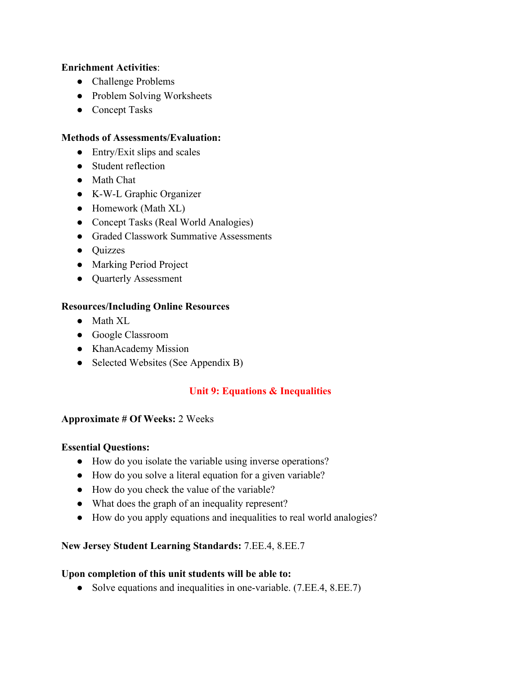## **Enrichment Activities**:

- Challenge Problems
- Problem Solving Worksheets
- Concept Tasks

## **Methods of Assessments/Evaluation:**

- $\bullet$  Entry/Exit slips and scales
- Student reflection
- Math Chat
- K-W-L Graphic Organizer
- Homework (Math XL)
- Concept Tasks (Real World Analogies)
- Graded Classwork Summative Assessments
- Quizzes
- Marking Period Project
- Quarterly Assessment

# **Resources/Including Online Resources**

- Math XL
- Google Classroom
- KhanAcademy Mission
- Selected Websites (See Appendix B)

# **Unit 9: Equations & Inequalities**

## **Approximate # Of Weeks:** 2 Weeks

## **Essential Questions:**

- How do you isolate the variable using inverse operations?
- How do you solve a literal equation for a given variable?
- How do you check the value of the variable?
- What does the graph of an inequality represent?
- How do you apply equations and inequalities to real world analogies?

# **New Jersey Student Learning Standards:** 7.EE.4, 8.EE.7

# **Upon completion of this unit students will be able to:**

● Solve equations and inequalities in one-variable. (7.EE.4, 8.EE.7)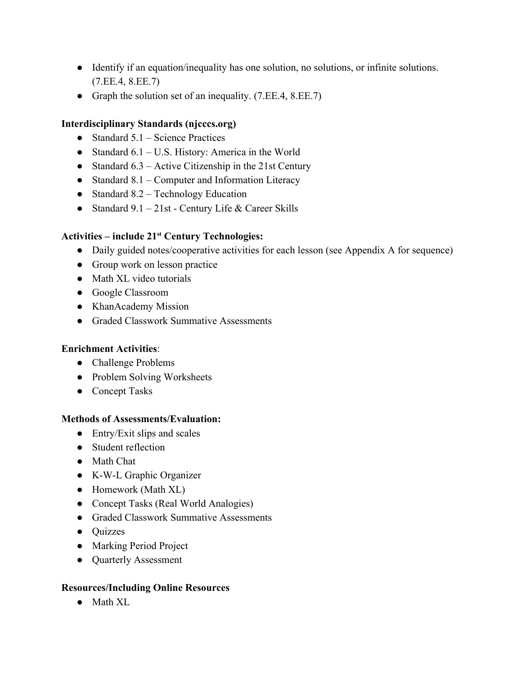- Identify if an equation/inequality has one solution, no solutions, or infinite solutions. (7.EE.4, 8.EE.7)
- Graph the solution set of an inequality. (7.EE.4, 8.EE.7)

# **Interdisciplinary Standards (njcccs.org)**

- $\bullet$  Standard 5.1 Science Practices
- Standard  $6.1 U.S.$  History: America in the World
- Standard  $6.3$  Active Citizenship in the 21st Century
- Standard 8.1 Computer and Information Literacy
- Standard  $8.2$  Technology Education
- Standard  $9.1 21$ st Century Life & Career Skills

# **Activities – include 21 st Century Technologies:**

- Daily guided notes/cooperative activities for each lesson (see Appendix A for sequence)
- Group work on lesson practice
- Math XL video tutorials
- Google Classroom
- KhanAcademy Mission
- Graded Classwork Summative Assessments

# **Enrichment Activities**:

- Challenge Problems
- Problem Solving Worksheets
- Concept Tasks

# **Methods of Assessments/Evaluation:**

- $\bullet$  Entry/Exit slips and scales
- Student reflection
- Math Chat
- K-W-L Graphic Organizer
- Homework (Math XL)
- Concept Tasks (Real World Analogies)
- Graded Classwork Summative Assessments
- Ouizzes
- Marking Period Project
- Quarterly Assessment

# **Resources/Including Online Resources**

● Math XL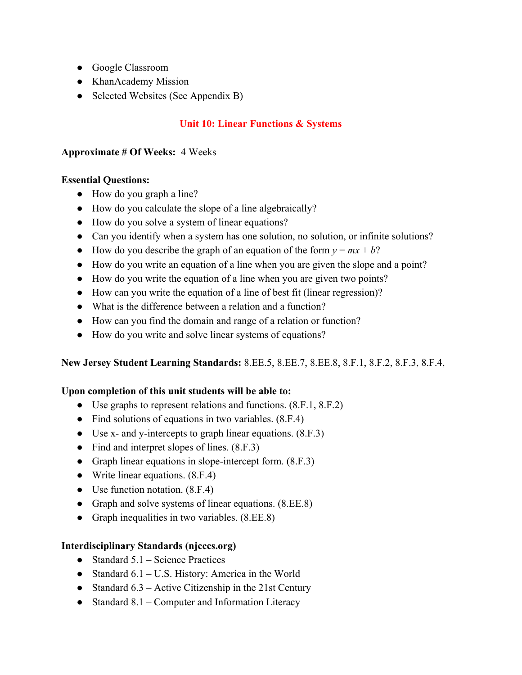- Google Classroom
- KhanAcademy Mission
- Selected Websites (See Appendix B)

# **Unit 10: Linear Functions & Systems**

## **Approximate # Of Weeks:** 4 Weeks

## **Essential Questions:**

- How do you graph a line?
- How do you calculate the slope of a line algebraically?
- How do you solve a system of linear equations?
- Can you identify when a system has one solution, no solution, or infinite solutions?
- How do you describe the graph of an equation of the form  $y = mx + b$ ?
- How do you write an equation of a line when you are given the slope and a point?
- How do you write the equation of a line when you are given two points?
- How can you write the equation of a line of best fit (linear regression)?
- What is the difference between a relation and a function?
- How can you find the domain and range of a relation or function?
- How do you write and solve linear systems of equations?

# **New Jersey Student Learning Standards:** 8.EE.5, 8.EE.7, 8.EE.8, 8.F.1, 8.F.2, 8.F.3, 8.F.4,

# **Upon completion of this unit students will be able to:**

- Use graphs to represent relations and functions. (8.F.1, 8.F.2)
- Find solutions of equations in two variables. (8.F.4)
- Use x- and y-intercepts to graph linear equations.  $(8.F.3)$
- Find and interpret slopes of lines.  $(8.F.3)$
- Graph linear equations in slope-intercept form.  $(8.F.3)$
- Write linear equations.  $(8.F.4)$
- Use function notation.  $(8.F.4)$
- Graph and solve systems of linear equations.  $(8.EE.8)$
- Graph inequalities in two variables.  $(8.EE.8)$

# **Interdisciplinary Standards (njcccs.org)**

- Standard  $5.1$  Science Practices
- Standard  $6.1 U.S.$  History: America in the World
- Standard  $6.3$  Active Citizenship in the 21st Century
- Standard  $8.1$  Computer and Information Literacy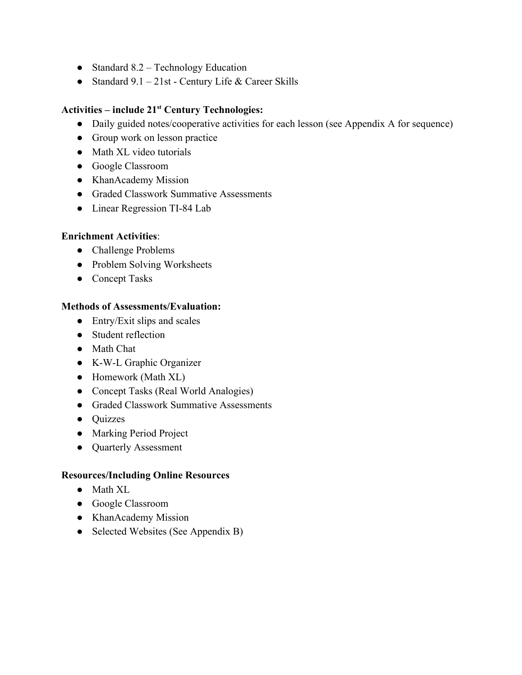- Standard 8.2 Technology Education
- Standard  $9.1 21$ st Century Life & Career Skills

# **Activities – include 21 st Century Technologies:**

- Daily guided notes/cooperative activities for each lesson (see Appendix A for sequence)
- Group work on lesson practice
- Math XL video tutorials
- Google Classroom
- KhanAcademy Mission
- Graded Classwork Summative Assessments
- Linear Regression TI-84 Lab

## **Enrichment Activities**:

- Challenge Problems
- Problem Solving Worksheets
- Concept Tasks

## **Methods of Assessments/Evaluation:**

- $\bullet$  Entry/Exit slips and scales
- Student reflection
- Math Chat
- K-W-L Graphic Organizer
- Homework (Math XL)
- Concept Tasks (Real World Analogies)
- Graded Classwork Summative Assessments
- Quizzes
- Marking Period Project
- Quarterly Assessment

## **Resources/Including Online Resources**

- Math XL
- Google Classroom
- KhanAcademy Mission
- Selected Websites (See Appendix B)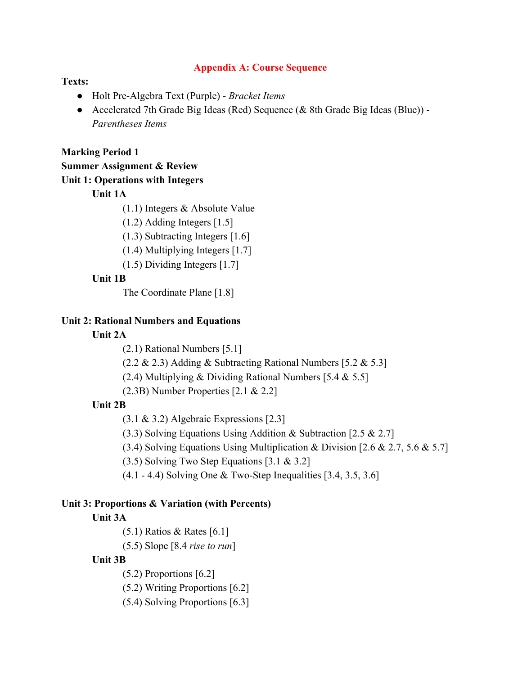#### **Appendix A: Course Sequence**

#### **Texts:**

- Holt Pre-Algebra Text (Purple) *Bracket Items*
- Accelerated 7th Grade Big Ideas (Red) Sequence (& 8th Grade Big Ideas (Blue)) *Parentheses Items*

#### **Marking Period 1**

## **Summer Assignment & Review**

#### **Unit 1: Operations with Integers**

# **Unit 1A**

(1.1) Integers & Absolute Value

(1.2) Adding Integers [1.5]

(1.3) Subtracting Integers [1.6]

- (1.4) Multiplying Integers [1.7]
- (1.5) Dividing Integers [1.7]

## **Unit 1B**

The Coordinate Plane [1.8]

#### **Unit 2: Rational Numbers and Equations**

#### **Unit 2A**

(2.1) Rational Numbers [5.1]

 $(2.2 \& 2.3)$  Adding & Subtracting Rational Numbers [5.2 & 5.3]

(2.4) Multiplying & Dividing Rational Numbers [5.4 & 5.5]

(2.3B) Number Properties [2.1 & 2.2]

## **Unit 2B**

(3.1 & 3.2) Algebraic Expressions [2.3]

(3.3) Solving Equations Using Addition & Subtraction [2.5 & 2.7]

(3.4) Solving Equations Using Multiplication & Division  $[2.6 \& 2.7, 5.6 \& 5.7]$ 

(3.5) Solving Two Step Equations [3.1 & 3.2]

(4.1 - 4.4) Solving One & Two-Step Inequalities [3.4, 3.5, 3.6]

#### **Unit 3: Proportions & Variation (with Percents)**

#### **Unit 3A**

(5.1) Ratios & Rates [6.1]

(5.5) Slope [8.4 *rise to run*]

#### **Unit 3B**

(5.2) Proportions [6.2]

(5.2) Writing Proportions [6.2]

(5.4) Solving Proportions [6.3]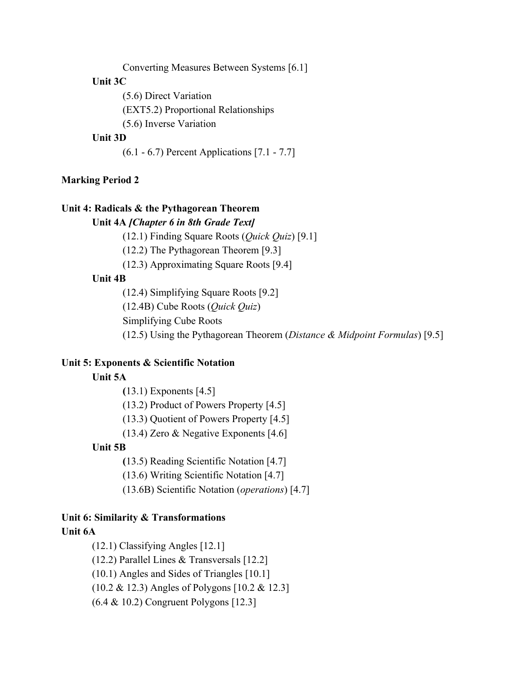Converting Measures Between Systems [6.1]

## **Unit 3C**

(5.6) Direct Variation

(EXT5.2) Proportional Relationships

(5.6) Inverse Variation

## **Unit 3D**

(6.1 - 6.7) Percent Applications [7.1 - 7.7]

#### **Marking Period 2**

#### **Unit 4: Radicals & the Pythagorean Theorem**

**Unit 4A** *[Chapter 6 in 8th Grade Text]*

(12.1) Finding Square Roots (*Quick Quiz*) [9.1]

(12.2) The Pythagorean Theorem [9.3]

(12.3) Approximating Square Roots [9.4]

## **Unit 4B**

(12.4) Simplifying Square Roots [9.2]

(12.4B) Cube Roots (*Quick Quiz*)

Simplifying Cube Roots

(12.5) Using the Pythagorean Theorem (*Distance & Midpoint Formulas*) [9.5]

#### **Unit 5: Exponents & Scientific Notation**

## **Unit 5A**

**(**13.1) Exponents [4.5]

(13.2) Product of Powers Property [4.5]

(13.3) Quotient of Powers Property [4.5]

(13.4) Zero & Negative Exponents [4.6]

#### **Unit 5B**

**(**13.5) Reading Scientific Notation [4.7]

(13.6) Writing Scientific Notation [4.7]

(13.6B) Scientific Notation (*operations*) [4.7]

# **Unit 6: Similarity & Transformations**

# **Unit 6A**

(12.1) Classifying Angles [12.1]

(12.2) Parallel Lines & Transversals [12.2]

(10.1) Angles and Sides of Triangles [10.1]

(10.2 & 12.3) Angles of Polygons [10.2 & 12.3]

(6.4 & 10.2) Congruent Polygons [12.3]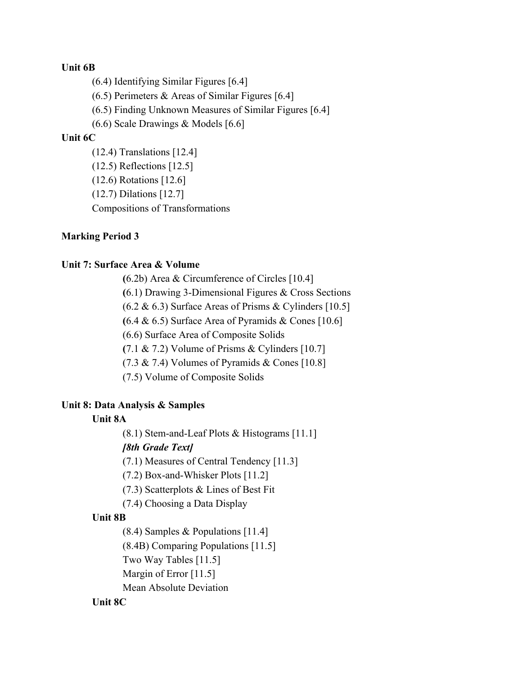#### **Unit 6B**

(6.4) Identifying Similar Figures [6.4]

 $(6.5)$  Perimeters & Areas of Similar Figures [6.4]

(6.5) Finding Unknown Measures of Similar Figures [6.4]

(6.6) Scale Drawings & Models [6.6]

#### **Unit 6C**

(12.4) Translations [12.4] (12.5) Reflections [12.5] (12.6) Rotations [12.6] (12.7) Dilations [12.7] Compositions of Transformations

## **Marking Period 3**

## **Unit 7: Surface Area & Volume**

**(**6.2b) Area & Circumference of Circles [10.4] **(**6.1) Drawing 3-Dimensional Figures & Cross Sections  $(6.2 \& 6.3)$  Surface Areas of Prisms & Cylinders [10.5]  $(6.4 \& 6.5)$  Surface Area of Pyramids  $\&$  Cones [10.6] (6.6) Surface Area of Composite Solids **(**7.1 & 7.2) Volume of Prisms & Cylinders [10.7]  $(7.3 \& 7.4)$  Volumes of Pyramids & Cones [10.8] (7.5) Volume of Composite Solids

## **Unit 8: Data Analysis & Samples**

## **Unit 8A**

(8.1) Stem-and-Leaf Plots & Histograms [11.1]

## *[8th Grade Text]*

(7.1) Measures of Central Tendency [11.3]

(7.2) Box-and-Whisker Plots [11.2]

(7.3) Scatterplots & Lines of Best Fit

(7.4) Choosing a Data Display

## **Unit 8B**

(8.4) Samples & Populations [11.4]

(8.4B) Comparing Populations [11.5]

Two Way Tables [11.5]

Margin of Error [11.5]

Mean Absolute Deviation

## **Unit 8C**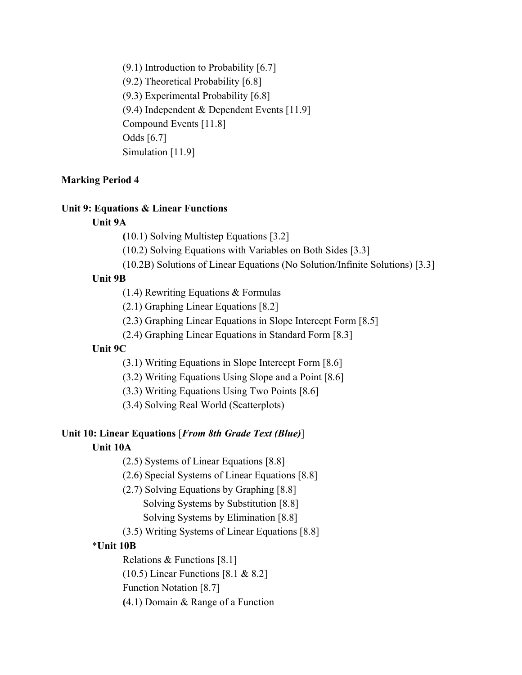(9.1) Introduction to Probability [6.7] (9.2) Theoretical Probability [6.8] (9.3) Experimental Probability [6.8] (9.4) Independent & Dependent Events [11.9] Compound Events [11.8] Odds [6.7] Simulation [11.9]

#### **Marking Period 4**

#### **Unit 9: Equations & Linear Functions**

#### **Unit 9A**

**(**10.1) Solving Multistep Equations [3.2]

(10.2) Solving Equations with Variables on Both Sides [3.3]

(10.2B) Solutions of Linear Equations (No Solution/Infinite Solutions) [3.3]

#### **Unit 9B**

(1.4) Rewriting Equations & Formulas

(2.1) Graphing Linear Equations [8.2]

(2.3) Graphing Linear Equations in Slope Intercept Form [8.5]

(2.4) Graphing Linear Equations in Standard Form [8.3]

## **Unit 9C**

(3.1) Writing Equations in Slope Intercept Form [8.6]

(3.2) Writing Equations Using Slope and a Point [8.6]

(3.3) Writing Equations Using Two Points [8.6]

(3.4) Solving Real World (Scatterplots)

## **Unit 10: Linear Equations** [*From 8th Grade Text (Blue)*]

#### **Unit 10A**

(2.5) Systems of Linear Equations [8.8]

(2.6) Special Systems of Linear Equations [8.8]

(2.7) Solving Equations by Graphing [8.8] Solving Systems by Substitution [8.8]

Solving Systems by Elimination [8.8]

(3.5) Writing Systems of Linear Equations [8.8]

## \***Unit 10B**

Relations & Functions [8.1]

(10.5) Linear Functions [8.1 & 8.2]

Function Notation [8.7]

**(**4.1) Domain & Range of a Function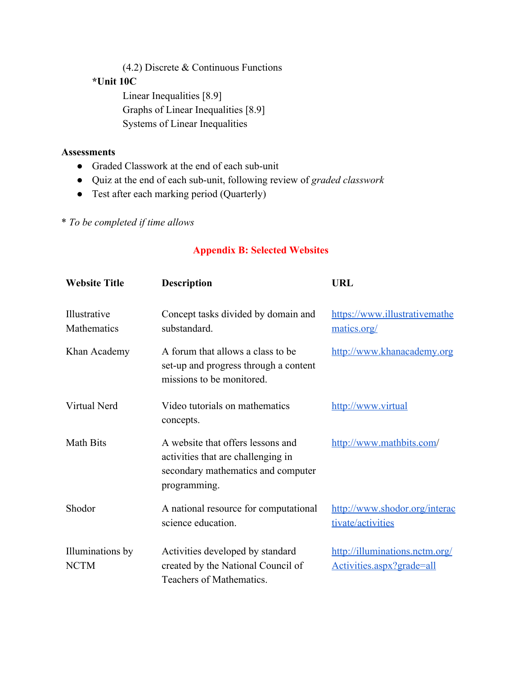(4.2) Discrete & Continuous Functions

## **\*Unit 10C**

Linear Inequalities [8.9] Graphs of Linear Inequalities [8.9] Systems of Linear Inequalities

## **Assessments**

- Graded Classwork at the end of each sub-unit
- Quiz at the end of each sub-unit, following review of *graded classwork*
- Test after each marking period (Quarterly)

\* *To be completed if time allows*

## **Appendix B: Selected Websites**

| <b>Website Title</b>            | <b>Description</b>                                                                                                            | <b>URL</b>                                                  |
|---------------------------------|-------------------------------------------------------------------------------------------------------------------------------|-------------------------------------------------------------|
| Illustrative<br>Mathematics     | Concept tasks divided by domain and<br>substandard.                                                                           | https://www.illustrativemathe<br>matics.org/                |
| Khan Academy                    | A forum that allows a class to be<br>set-up and progress through a content<br>missions to be monitored.                       | http://www.khanacademy.org                                  |
| Virtual Nerd                    | Video tutorials on mathematics<br>concepts.                                                                                   | http://www.virtual                                          |
| <b>Math Bits</b>                | A website that offers lessons and<br>activities that are challenging in<br>secondary mathematics and computer<br>programming. | http://www.mathbits.com/                                    |
| Shodor                          | A national resource for computational<br>science education.                                                                   | http://www.shodor.org/interac<br>tivate/activities          |
| Illuminations by<br><b>NCTM</b> | Activities developed by standard<br>created by the National Council of<br>Teachers of Mathematics.                            | http://illuminations.nctm.org/<br>Activities.aspx?grade=all |